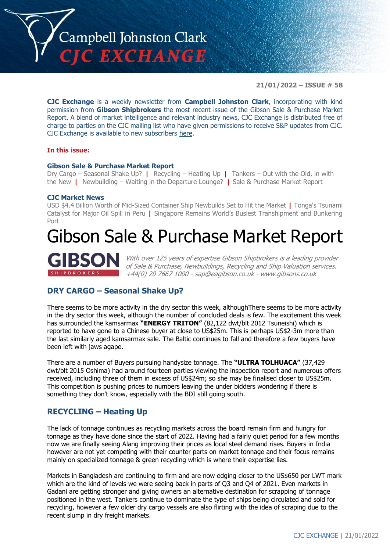

**21/01/2022 – ISSUE # 58**

**CJC Exchange** is a weekly newsletter from **Campbell Johnston Clark**, incorporating with kind permission from **Gibson Shipbrokers** the most recent issue of the Gibson Sale & Purchase Market Report. A blend of market intelligence and relevant industry news, CJC Exchange is distributed free of charge to parties on the CJC mailing list who have given permissions to receive S&P updates from CJC. CJC Exchange is available to new subscribers [here.](mailto:jamesc@cjclaw.com?subject=CJC%20Exchange%20sign-up)

## **In this issue:**

### **Gibson Sale & Purchase Market Report**

Dry Cargo – Seasonal Shake Up? **|** Recycling – Heating Up **|** Tankers – Out with the Old, in with the New **|** Newbuilding – Waiting in the Departure Lounge? **|** Sale & Purchase Market Report

### **CJC Market News**

USD \$4.4 Billion Worth of Mid-Sized Container Ship Newbuilds Set to Hit the Market **|** Tonga's Tsunami Catalyst for Major Oil Spill in Peru **|** Singapore Remains World's Busiest Transhipment and Bunkering Port

# Gibson Sale & Purchase Market Report



With over 125 years of expertise Gibson Shipbrokers is a leading provider of Sale & Purchase, Newbuildings, Recycling and Ship Valuation services. +44(0) 20 7667 1000 - [sap@eagibson.co.uk](mailto:sap@eagibson.co.uk) - [www.gibsons.co.uk](https://protect-eu.mimecast.com/s/VO6nCGZzRS60KqcK1jQh/)

# **DRY CARGO – Seasonal Shake Up?**

There seems to be more activity in the dry sector this week, althoughThere seems to be more activity in the dry sector this week, although the number of concluded deals is few. The excitement this week has surrounded the kamsarmax **"ENERGY TRITON"** (82,122 dwt/blt 2012 Tsuneishi) which is reported to have gone to a Chinese buyer at close to US\$25m. This is perhaps US\$2-3m more than the last similarly aged kamsarmax sale. The Baltic continues to fall and therefore a few buyers have been left with jaws agape.

There are a number of Buyers pursuing handysize tonnage. The **"ULTRA TOLHUACA"** (37,429 dwt/blt 2015 Oshima) had around fourteen parties viewing the inspection report and numerous offers received, including three of them in excess of US\$24m; so she may be finalised closer to US\$25m. This competition is pushing prices to numbers leaving the under bidders wondering if there is something they don't know, especially with the BDI still going south.

# **RECYCLING – Heating Up**

The lack of tonnage continues as recycling markets across the board remain firm and hungry for tonnage as they have done since the start of 2022. Having had a fairly quiet period for a few months now we are finally seeing Alang improving their prices as local steel demand rises. Buyers in India however are not yet competing with their counter parts on market tonnage and their focus remains mainly on specialized tonnage & green recycling which is where their expertise lies.

Markets in Bangladesh are continuing to firm and are now edging closer to the US\$650 per LWT mark which are the kind of levels we were seeing back in parts of Q3 and Q4 of 2021. Even markets in Gadani are getting stronger and giving owners an alternative destination for scrapping of tonnage positioned in the west. Tankers continue to dominate the type of ships being circulated and sold for recycling, however a few older dry cargo vessels are also flirting with the idea of scraping due to the recent slump in dry freight markets.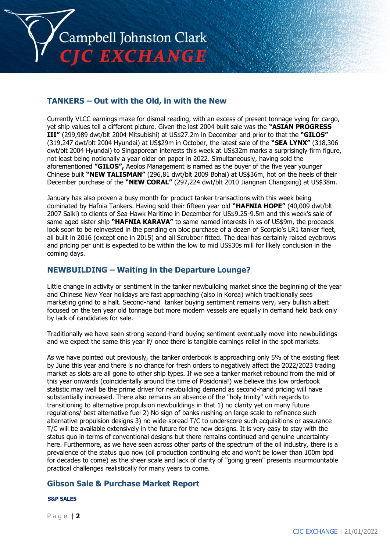

# **TANKERS – Out with the Old, in with the New**

Currently VLCC earnings make for dismal reading, with an excess of present tonnage vying for cargo, yet ship values tell a different picture. Given the last 2004 built sale was the **"ASIAN PROGRESS III"** (299,989 dwt/blt 2004 Mitsubishi) at US\$27.2m in December and prior to that the **"GILOS"** (319,247 dwt/blt 2004 Hyundai) at US\$29m in October, the latest sale of the **"SEA LYNX"** (318,306 dwt/blt 2004 Hyundai) to Singaporean interests this week at US\$32m marks a surprisingly firm figure, not least being notionally a year older on paper in 2022. Simultaneously, having sold the aforementioned **"GILOS",** Aeolos Management is named as the buyer of the five year younger Chinese built **"NEW TALISMAN"** (296,81 dwt/blt 2009 Bohai) at US\$36m, hot on the heels of their December purchase of the **"NEW CORAL"** (297,224 dwt/blt 2010 Jiangnan Changxing) at US\$38m.

January has also proven a busy month for product tanker transactions with this week being dominated by Hafnia Tankers. Having sold their fifteen year old **"HAFNIA HOPE"** (40,009 dwt/blt 2007 Saiki) to clients of Sea Hawk Maritime in December for US\$9.25-9.5m and this week's sale of same aged sister ship **"HAFNIA KARAVA"** to same named interests in xs of US\$9m, the proceeds look soon to be reinvested in the pending en bloc purchase of a dozen of Scorpio's LR1 tanker fleet, all built in 2016 (except one in 2015) and all Scrubber fitted. The deal has certainly raised eyebrows and pricing per unit is expected to be within the low to mid US\$30s mill for likely conclusion in the coming days.

## **NEWBUILDING – Waiting in the Departure Lounge?**

Little change in activity or sentiment in the tanker newbuilding market since the beginning of the year and Chinese New Year holidays are fast approaching (also in Korea) which traditionally sees marketing grind to a halt. Second-hand tanker buying sentiment remains very, very bullish albeit focused on the ten year old tonnage but more modern vessels are equally in demand held back only by lack of candidates for sale.

Traditionally we have seen strong second-hand buying sentiment eventually move into newbuildings and we expect the same this year if/ once there is tangible earnings relief in the spot markets.

As we have pointed out previously, the tanker orderbook is approaching only 5% of the existing fleet by June this year and there is no chance for fresh orders to negatively affect the 2022/2023 trading market as slots are all gone to other ship types. If we see a tanker market rebound from the mid of this year onwards (coincidentally around the time of Posidonia!) we believe this low orderbook statistic may well be the prime driver for newbuilding demand as second-hand pricing will have substantially increased. There also remains an absence of the "holy trinity" with regards to transitioning to alternative propulsion newbuildings in that 1) no clarity yet on many future regulations/ best alternative fuel 2) No sign of banks rushing on large scale to refinance such alternative propulsion designs 3) no wide-spread T/C to underscore such acquisitions or assurance T/C will be available extensively in the future for the new designs. It is very easy to stay with the status quo in terms of conventional designs but there remains continued and genuine uncertainty here. Furthermore, as we have seen across other parts of the spectrum of the oil industry, there is a prevalence of the status quo now (oil production continuing etc and won't be lower than 100m bpd for decades to come) as the sheer scale and lack of clarity of "going green" presents insurmountable practical challenges realistically for many years to come.

# **Gibson Sale & Purchase Market Report**

### **S&P SALES**

P a g e | **2**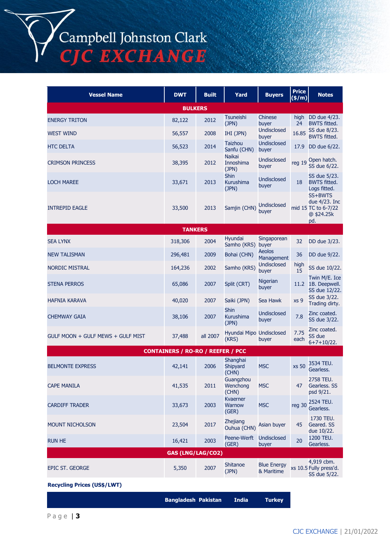CJC EXCHANGE | 21/01/2022



**Bangladesh Pakistan India Turkey**

**Recycling Prices (US\$/LWT)**

| <b>Vessel Name</b>                     | <b>DWT</b>                               | <b>Built</b> | Yard                                | <b>Buyers</b>                    | <b>Price</b><br>(\$/m) | <b>Notes</b>                                                        |
|----------------------------------------|------------------------------------------|--------------|-------------------------------------|----------------------------------|------------------------|---------------------------------------------------------------------|
|                                        | <b>BULKERS</b>                           |              |                                     |                                  |                        |                                                                     |
| <b>ENERGY TRITON</b>                   | 82,122                                   | 2012         | Tsuneishi<br>(JPN)                  | Chinese<br>buyer                 | 24                     | high DD due 4/23.<br><b>BWTS fitted.</b>                            |
| <b>WEST WIND</b>                       | 56,557                                   | 2008         | IHI (JPN)                           | <b>Undisclosed</b><br>buyer      | 16.85                  | SS due 8/23.<br><b>BWTS fitted.</b>                                 |
| <b>HTC DELTA</b>                       | 56,523                                   | 2014         | Taizhou<br>Sanfu (CHN)              | <b>Undisclosed</b><br>buyer      | 17.9                   | DD due 6/22.                                                        |
| <b>CRIMSON PRINCESS</b>                | 38,395                                   | 2012         | <b>Naikai</b><br>Innoshima<br>(JPN) | <b>Undisclosed</b><br>buyer      | reg 19                 | Open hatch.<br>SS due 6/22.                                         |
| <b>LOCH MAREE</b>                      | 33,671                                   | 2013         | <b>Shin</b><br>Kurushima<br>(JPN)   | <b>Undisclosed</b><br>buyer      | 18                     | SS due 5/23.<br><b>BWTS fitted.</b><br>Logs fitted.                 |
| <b>INTREPID EAGLE</b>                  | 33,500                                   | 2013         | Samjin (CHN)                        | <b>Undisclosed</b><br>buyer      |                        | SS+BWTS<br>due 4/23. Inc<br>mid 15 TC to 6-7/22<br>@\$24.25k<br>pd. |
|                                        | <b>TANKERS</b>                           |              |                                     |                                  |                        |                                                                     |
| <b>SEA LYNX</b>                        | 318,306                                  | 2004         | Hyundai<br>Samho (KRS) buyer        | Singaporean                      | 32                     | DD due 3/23.                                                        |
| <b>NEW TALISMAN</b>                    | 296,481                                  | 2009         | Bohai (CHN)                         | Aeolos<br>Management             | 36                     | DD due 9/22.                                                        |
| <b>NORDIC MISTRAL</b>                  | 164,236                                  | 2002         | Samho (KRS)                         | <b>Undisclosed</b><br>buyer      | high<br>15             | SS due 10/22.                                                       |
| <b>STENA PERROS</b>                    | 65,086                                   | 2007         | Split (CRT)                         | <b>Nigerian</b><br>buyer         |                        | Twin M/E. Ice<br>11.2 1B. Deepwell.<br>SS due 12/22.                |
| <b>HAFNIA KARAVA</b>                   | 40,020                                   | 2007         | Saiki (JPN)                         | Sea Hawk                         | xs <sub>9</sub>        | SS due 3/22.<br>Trading dirty.                                      |
| <b>CHEMWAY GAIA</b>                    | 38,106                                   | 2007         | Shin<br>Kurushima<br>(JPN)          | <b>Undisclosed</b><br>buyer      | 7.8                    | Zinc coated.<br>SS due 3/22.                                        |
| GULF MOON + GULF MEWS + GULF MIST      | 37,488                                   | all 2007     | Hyundai Mipo Undisclosed<br>(KRS)   | buyer                            | 7.75<br>each           | Zinc coated.<br>SS due<br>$6+7+10/22.$                              |
|                                        | <b>CONTAINERS / RO-RO / REEFER / PCC</b> |              |                                     |                                  |                        |                                                                     |
| <b>BELMONTE EXPRESS</b>                | 42,141                                   | 2006         | Shanghai<br>Shipyard<br>(CHN)       | <b>MSC</b>                       | xs 50                  | 3534 TEU.<br>Gearless.                                              |
| <b>CAPE MANILA</b>                     | 41,535                                   | 2011         | Guangzhou<br>Wenchong<br>(CHN)      | <b>MSC</b>                       | 47                     | 2758 TEU.<br>Gearless. SS<br>psd 9/21.                              |
| <b>CARDIFF TRADER</b>                  | 33,673                                   | 2003         | Kvaerner<br>Warnow<br>(GER)         | <b>MSC</b>                       | reg 30                 | 2524 TEU.<br>Gearless.                                              |
| <b>MOUNT NICHOLSON</b>                 | 23,504                                   | 2017         | Zhejiang<br>Ouhua (CHN)             | Asian buyer                      | 45                     | 1730 TEU.<br>Geared. SS<br>due 10/22.                               |
| <b>RUN HE</b>                          | 16,421                                   | 2003         | Peene-Werft<br>(GER)                | <b>Undisclosed</b><br>buyer      | 20                     | 1200 TEU.<br>Gearless.                                              |
|                                        | GAS (LNG/LAG/CO2)                        |              |                                     |                                  |                        |                                                                     |
| EPIC ST. GEORGE                        | 5,350                                    | 2007         | Shitanoe<br>(JPN)                   | <b>Blue Energy</b><br>& Maritime |                        | 4,919 cbm.<br>xs 10.5 Fully press'd.<br>SS due 5/22.                |
| <b>Recycling Prices (IIS&amp;/IWT)</b> |                                          |              |                                     |                                  |                        |                                                                     |

Campbell Johnston Clark<br>CJC EXCHANGE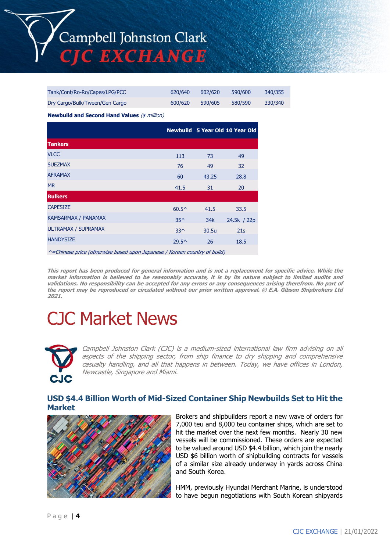| Tank/Cont/Ro-Ro/Capes/LPG/PCC  | 620/640 | 602/620 | 590/600 | 340/355 |
|--------------------------------|---------|---------|---------|---------|
| Dry Cargo/Bulk/Tween/Gen Cargo | 600/620 | 590/605 | 580/590 | 330/340 |

**Newbuild and Second Hand Values** (\$ million)

|                            |                |       | Newbuild 5 Year Old 10 Year Old |
|----------------------------|----------------|-------|---------------------------------|
| <b>Tankers</b>             |                |       |                                 |
| <b>VLCC</b>                | 113            | 73    | 49                              |
| <b>SUEZMAX</b>             | 76             | 49    | 32                              |
| <b>AFRAMAX</b>             | 60             | 43.25 | 28.8                            |
| <b>MR</b>                  | 41.5           | 31    | 20                              |
| <b>Bulkers</b>             |                |       |                                 |
| <b>CAPESIZE</b>            | $60.5^{\circ}$ | 41.5  | 33.5                            |
| <b>KAMSARMAX / PANAMAX</b> | $35^{\wedge}$  | 34k   | 24.5k / 22p                     |
| ULTRAMAX / SUPRAMAX        | $33^$          | 30.5u | 21s                             |
| <b>HANDYSIZE</b>           | $29.5^{\circ}$ | 26    | 18.5                            |

^=Chinese price (otherwise based upon Japanese / Korean country of build)

**This report has been produced for general information and is not a replacement for specific advice. While the market information is believed to be reasonably accurate, it is by its nature subject to limited audits and validations. No responsibility can be accepted for any errors or any consequences arising therefrom. No part of the report may be reproduced or circulated without our prior written approval. © E.A. Gibson Shipbrokers Ltd 2021.**

# CJC Market News



Campbell Johnston Clark (CJC) is a medium-sized international law firm advising on all aspects of the shipping sector, from ship finance to dry shipping and comprehensive casualty handling, and all that happens in between. Today, we have offices in London, Newcastle, Singapore and Miami.

# **USD \$4.4 Billion Worth of Mid-Sized Container Ship Newbuilds Set to Hit the Market**



Brokers and shipbuilders report a new wave of orders for 7,000 teu and 8,000 teu container ships, which are set to hit the market over the next few months. Nearly 30 new vessels will be commissioned. These orders are expected to be valued around USD \$4.4 billion, which join the nearly USD \$6 billion worth of shipbuilding contracts for vessels of a similar size already underway in yards across China and South Korea.

HMM, previously Hyundai Merchant Marine, is understood to have begun negotiations with South Korean shipyards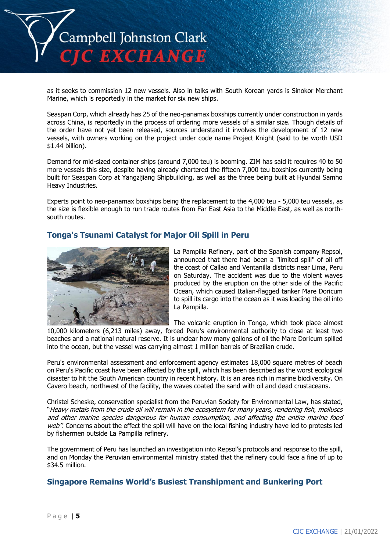

as it seeks to commission 12 new vessels. Also in talks with South Korean yards is Sinokor Merchant Marine, which is reportedly in the market for six new ships.

Seaspan Corp, which already has 25 of the neo-panamax boxships currently under construction in yards across China, is reportedly in the process of ordering more vessels of a similar size. Though details of the order have not yet been released, sources understand it involves the development of 12 new vessels, with owners working on the project under code name Project Knight (said to be worth USD \$1.44 billion).

Demand for mid-sized container ships (around 7,000 teu) is booming. ZIM has said it requires 40 to 50 more vessels this size, despite having already chartered the fifteen 7,000 teu boxships currently being built for Seaspan Corp at Yangzijiang Shipbuilding, as well as the three being built at Hyundai Samho Heavy Industries.

Experts point to neo-panamax boxships being the replacement to the 4,000 teu - 5,000 teu vessels, as the size is flexible enough to run trade routes from Far East Asia to the Middle East, as well as northsouth routes.

# **Tonga's Tsunami Catalyst for Major Oil Spill in Peru**



La Pampilla Refinery, part of the Spanish company Repsol, announced that there had been a "limited spill" of oil off the coast of Callao and Ventanilla districts near Lima, Peru on Saturday. The accident was due to the violent waves produced by the eruption on the other side of the Pacific Ocean, which caused Italian-flagged tanker Mare Doricum to spill its cargo into the ocean as it was loading the oil into La Pampilla.

The volcanic eruption in Tonga, which took place almost

10,000 kilometers (6,213 miles) away, forced Peru's environmental authority to close at least two beaches and a national natural reserve. It is unclear how many gallons of oil the Mare Doricum spilled into the ocean, but the vessel was carrying almost 1 million barrels of Brazilian crude.

Peru's environmental assessment and enforcement agency estimates 18,000 square metres of beach on Peru's Pacific coast have been affected by the spill, which has been described as the worst ecological disaster to hit the South American country in recent history. It is an area rich in marine biodiversity. On Cavero beach, northwest of the facility, the waves coated the sand with oil and dead crustaceans.

Christel Scheske, conservation specialist from the Peruvian Society for Environmental Law, has stated, "Heavy metals from the crude oil will remain in the ecosystem for many years, rendering fish, molluscs and other marine species dangerous for human consumption, and affecting the entire marine food web". Concerns about the effect the spill will have on the local fishing industry have led to protests led by fishermen outside La Pampilla refinery.

The government of Peru has launched an investigation into Repsol's protocols and response to the spill, and on Monday the Peruvian environmental ministry stated that the refinery could face a fine of up to \$34.5 million.

# **Singapore Remains World's Busiest Transhipment and Bunkering Port**